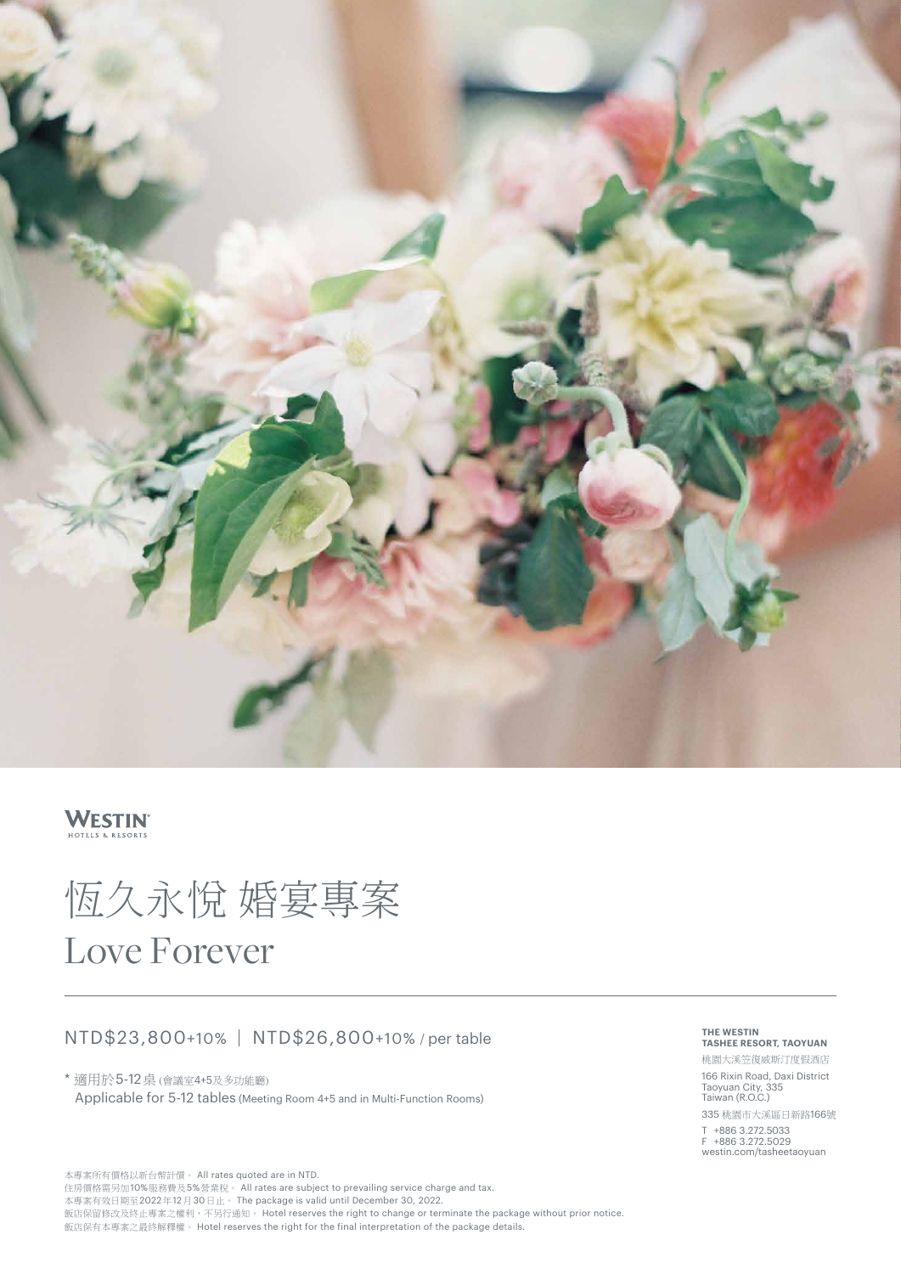

## **WESTIN**

# 恆久永悅 婚宴專案 Love Forever

## NTD\$23,800+10% NTD\$26,800+10% / per table

\* 適用於5-12桌 (會議室4+5及多功能廳) Applicable for 5-12 tables (Meeting Room 4+5 and in Multi-Function Rooms)

本專案所有價格以新台幣計價。 All rates quoted are in NTD. 住房價格需另加10%服務費及5%營業稅。 All rates are subject to prevailing service charge and tax. 本專案有效日期至2022年12月30日止。 The package is valid until December 30, 2022. 飯店保留修改及終止專案之權利,不另行通知。 Hotel reserves the right to change or terminate the package without prior notice. 飯店保有本專案之最終解釋權。 Hotel reserves the right for the final interpretation of the package details.

#### **THE WESTIN TASHEE RESORT, TAOYUAN**

桃園大溪笠復威斯汀度假酒店 166 Rixin Road, Daxi District Taoyuan City, 335 Taiwan (R.O.C.)

335 桃園市大溪區日新路166號 T +886 3.272.5033 F +886 3.272.5029 westin.com/tasheetaoyuan